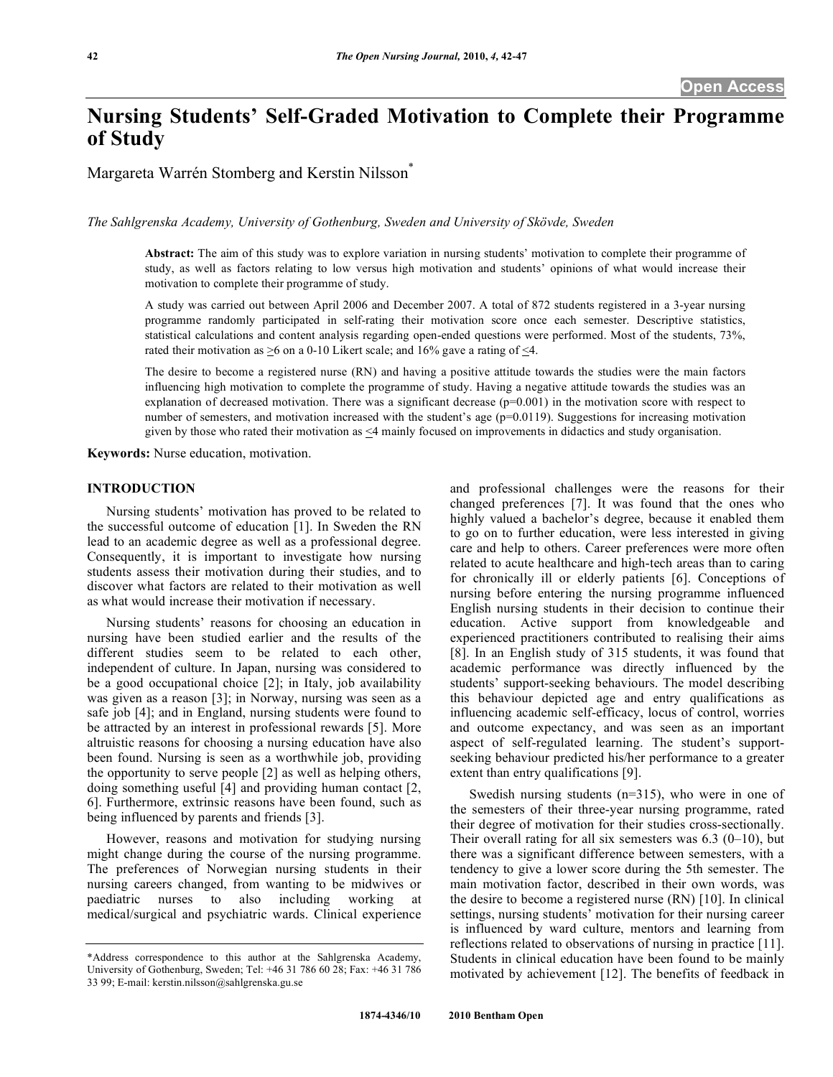# **Nursing Students' Self-Graded Motivation to Complete their Programme of Study**

Margareta Warrén Stomberg and Kerstin Nilsson\*

*The Sahlgrenska Academy, University of Gothenburg, Sweden and University of Skövde, Sweden* 

**Abstract:** The aim of this study was to explore variation in nursing students' motivation to complete their programme of study, as well as factors relating to low versus high motivation and students' opinions of what would increase their motivation to complete their programme of study.

A study was carried out between April 2006 and December 2007. A total of 872 students registered in a 3-year nursing programme randomly participated in self-rating their motivation score once each semester. Descriptive statistics, statistical calculations and content analysis regarding open-ended questions were performed. Most of the students, 73%, rated their motivation as  $\geq 6$  on a 0-10 Likert scale; and 16% gave a rating of  $\leq 4$ .

The desire to become a registered nurse (RN) and having a positive attitude towards the studies were the main factors influencing high motivation to complete the programme of study. Having a negative attitude towards the studies was an explanation of decreased motivation. There was a significant decrease  $(p=0.001)$  in the motivation score with respect to number of semesters, and motivation increased with the student's age  $(p=0.0119)$ . Suggestions for increasing motivation given by those who rated their motivation as <4 mainly focused on improvements in didactics and study organisation.

**Keywords:** Nurse education, motivation.

#### **INTRODUCTION**

 Nursing students' motivation has proved to be related to the successful outcome of education [1]. In Sweden the RN lead to an academic degree as well as a professional degree. Consequently, it is important to investigate how nursing students assess their motivation during their studies, and to discover what factors are related to their motivation as well as what would increase their motivation if necessary.

 Nursing students' reasons for choosing an education in nursing have been studied earlier and the results of the different studies seem to be related to each other, independent of culture. In Japan, nursing was considered to be a good occupational choice [2]; in Italy, job availability was given as a reason [3]; in Norway, nursing was seen as a safe job [4]; and in England, nursing students were found to be attracted by an interest in professional rewards [5]. More altruistic reasons for choosing a nursing education have also been found. Nursing is seen as a worthwhile job, providing the opportunity to serve people [2] as well as helping others, doing something useful [4] and providing human contact [2, 6]. Furthermore, extrinsic reasons have been found, such as being influenced by parents and friends [3].

 However, reasons and motivation for studying nursing might change during the course of the nursing programme. The preferences of Norwegian nursing students in their nursing careers changed, from wanting to be midwives or paediatric nurses to also including working at medical/surgical and psychiatric wards. Clinical experience

and professional challenges were the reasons for their changed preferences [7]. It was found that the ones who highly valued a bachelor's degree, because it enabled them to go on to further education, were less interested in giving care and help to others. Career preferences were more often related to acute healthcare and high-tech areas than to caring for chronically ill or elderly patients [6]. Conceptions of nursing before entering the nursing programme influenced English nursing students in their decision to continue their education. Active support from knowledgeable and experienced practitioners contributed to realising their aims [8]. In an English study of 315 students, it was found that academic performance was directly influenced by the students' support-seeking behaviours. The model describing this behaviour depicted age and entry qualifications as influencing academic self-efficacy, locus of control, worries and outcome expectancy, and was seen as an important aspect of self-regulated learning. The student's supportseeking behaviour predicted his/her performance to a greater extent than entry qualifications [9].

 Swedish nursing students (n=315), who were in one of the semesters of their three-year nursing programme, rated their degree of motivation for their studies cross-sectionally. Their overall rating for all six semesters was  $6.3$  (0–10), but there was a significant difference between semesters, with a tendency to give a lower score during the 5th semester. The main motivation factor, described in their own words, was the desire to become a registered nurse (RN) [10]. In clinical settings, nursing students' motivation for their nursing career is influenced by ward culture, mentors and learning from reflections related to observations of nursing in practice [11]. Students in clinical education have been found to be mainly motivated by achievement [12]. The benefits of feedback in

<sup>\*</sup>Address correspondence to this author at the Sahlgrenska Academy, University of Gothenburg, Sweden; Tel: +46 31 786 60 28; Fax: +46 31 786 33 99; E-mail: kerstin.nilsson@sahlgrenska.gu.se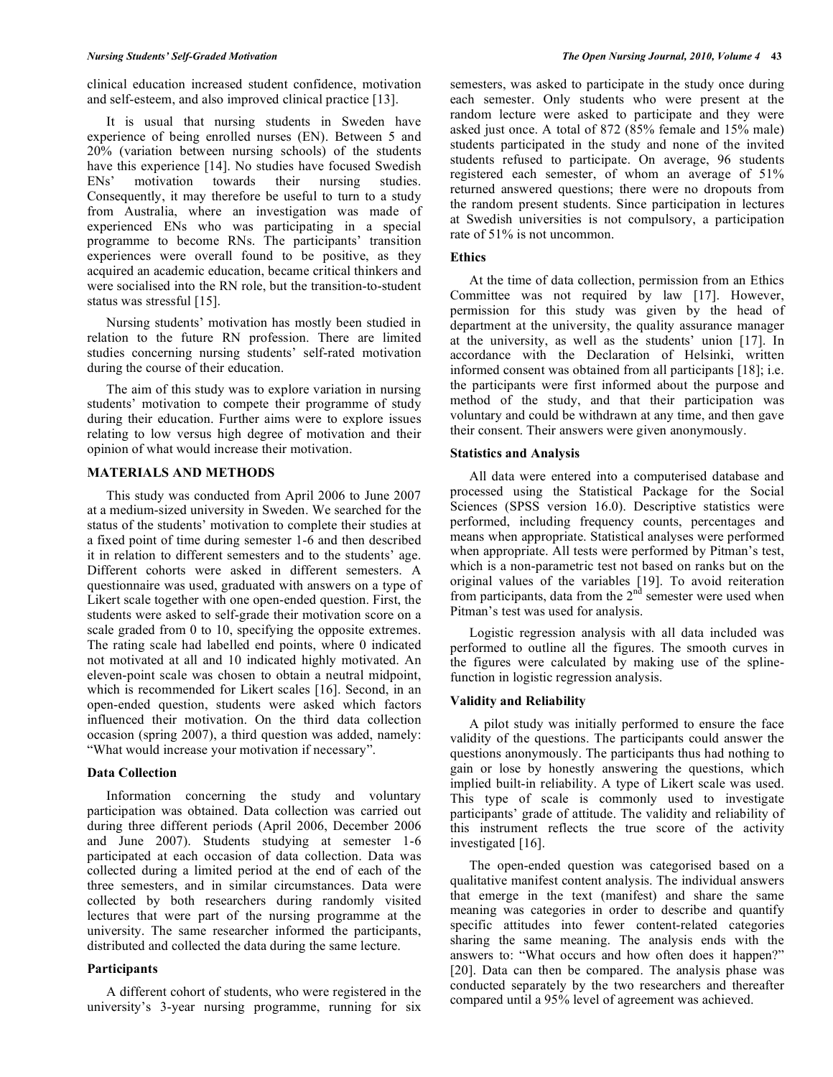clinical education increased student confidence, motivation and self-esteem, and also improved clinical practice [13].

 It is usual that nursing students in Sweden have experience of being enrolled nurses (EN). Between 5 and 20% (variation between nursing schools) of the students have this experience [14]. No studies have focused Swedish ENs' motivation towards their nursing studies. Consequently, it may therefore be useful to turn to a study from Australia, where an investigation was made of experienced ENs who was participating in a special programme to become RNs. The participants' transition experiences were overall found to be positive, as they acquired an academic education, became critical thinkers and were socialised into the RN role, but the transition-to-student status was stressful [15].

 Nursing students' motivation has mostly been studied in relation to the future RN profession. There are limited studies concerning nursing students' self-rated motivation during the course of their education.

 The aim of this study was to explore variation in nursing students' motivation to compete their programme of study during their education. Further aims were to explore issues relating to low versus high degree of motivation and their opinion of what would increase their motivation.

### **MATERIALS AND METHODS**

 This study was conducted from April 2006 to June 2007 at a medium-sized university in Sweden. We searched for the status of the students' motivation to complete their studies at a fixed point of time during semester 1-6 and then described it in relation to different semesters and to the students' age. Different cohorts were asked in different semesters. A questionnaire was used, graduated with answers on a type of Likert scale together with one open-ended question. First, the students were asked to self-grade their motivation score on a scale graded from 0 to 10, specifying the opposite extremes. The rating scale had labelled end points, where 0 indicated not motivated at all and 10 indicated highly motivated. An eleven-point scale was chosen to obtain a neutral midpoint, which is recommended for Likert scales [16]. Second, in an open-ended question, students were asked which factors influenced their motivation. On the third data collection occasion (spring 2007), a third question was added, namely: "What would increase your motivation if necessary".

#### **Data Collection**

 Information concerning the study and voluntary participation was obtained. Data collection was carried out during three different periods (April 2006, December 2006 and June 2007). Students studying at semester 1-6 participated at each occasion of data collection. Data was collected during a limited period at the end of each of the three semesters, and in similar circumstances. Data were collected by both researchers during randomly visited lectures that were part of the nursing programme at the university. The same researcher informed the participants, distributed and collected the data during the same lecture.

#### **Participants**

 A different cohort of students, who were registered in the university's 3-year nursing programme, running for six semesters, was asked to participate in the study once during each semester. Only students who were present at the random lecture were asked to participate and they were asked just once. A total of 872 (85% female and 15% male) students participated in the study and none of the invited students refused to participate. On average, 96 students registered each semester, of whom an average of 51% returned answered questions; there were no dropouts from the random present students. Since participation in lectures at Swedish universities is not compulsory, a participation rate of 51% is not uncommon.

## **Ethics**

 At the time of data collection, permission from an Ethics Committee was not required by law [17]. However, permission for this study was given by the head of department at the university, the quality assurance manager at the university, as well as the students' union [17]. In accordance with the Declaration of Helsinki, written informed consent was obtained from all participants [18]; i.e. the participants were first informed about the purpose and method of the study, and that their participation was voluntary and could be withdrawn at any time, and then gave their consent. Their answers were given anonymously.

### **Statistics and Analysis**

 All data were entered into a computerised database and processed using the Statistical Package for the Social Sciences (SPSS version 16.0). Descriptive statistics were performed, including frequency counts, percentages and means when appropriate. Statistical analyses were performed when appropriate. All tests were performed by Pitman's test, which is a non-parametric test not based on ranks but on the original values of the variables [19]. To avoid reiteration from participants, data from the  $2<sup>nd</sup>$  semester were used when Pitman's test was used for analysis.

 Logistic regression analysis with all data included was performed to outline all the figures. The smooth curves in the figures were calculated by making use of the splinefunction in logistic regression analysis.

#### **Validity and Reliability**

 A pilot study was initially performed to ensure the face validity of the questions. The participants could answer the questions anonymously. The participants thus had nothing to gain or lose by honestly answering the questions, which implied built-in reliability. A type of Likert scale was used. This type of scale is commonly used to investigate participants' grade of attitude. The validity and reliability of this instrument reflects the true score of the activity investigated [16].

 The open-ended question was categorised based on a qualitative manifest content analysis. The individual answers that emerge in the text (manifest) and share the same meaning was categories in order to describe and quantify specific attitudes into fewer content-related categories sharing the same meaning. The analysis ends with the answers to: "What occurs and how often does it happen?" [20]. Data can then be compared. The analysis phase was conducted separately by the two researchers and thereafter compared until a 95% level of agreement was achieved.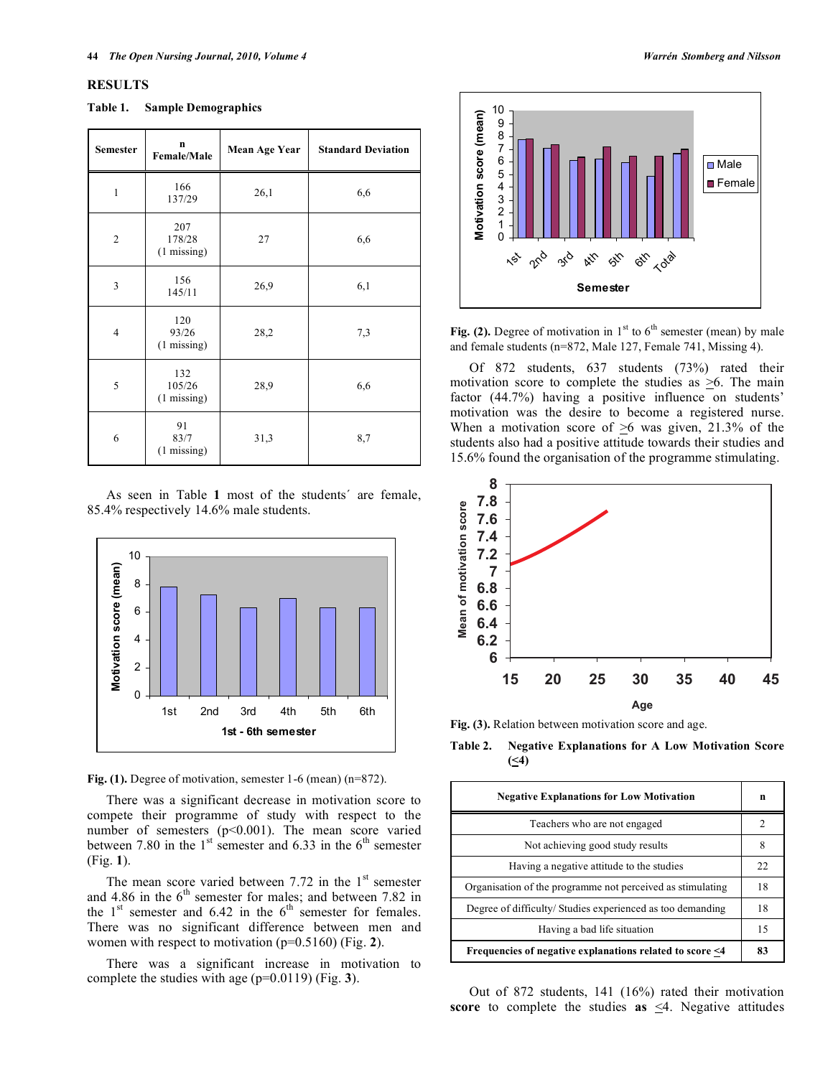#### **RESULTS**

| <b>Semester</b> | $\mathbf n$<br><b>Female/Male</b>      | Mean Age Year | <b>Standard Deviation</b> |
|-----------------|----------------------------------------|---------------|---------------------------|
| $\mathbf{1}$    | 166<br>137/29                          | 26,1          | 6,6                       |
| $\overline{2}$  | 207<br>178/28<br>$(1 \text{ missing})$ | 27            | 6,6                       |
| $\overline{3}$  | 156<br>145/11                          | 26,9          | 6,1                       |
| $\overline{4}$  | 120<br>93/26<br>$(1 \text{ missing})$  | 28,2          | 7,3                       |
| 5               | 132<br>105/26<br>$(1 \text{ missing})$ | 28,9          | 6,6                       |
| 6               | 91<br>83/7<br>$(1 \text{ missing})$    | 31,3          | 8,7                       |

 As seen in Table **1** most of the students´ are female, 85.4% respectively 14.6% male students.





 There was a significant decrease in motivation score to compete their programme of study with respect to the number of semesters (p<0.001). The mean score varied between 7.80 in the  $1<sup>st</sup>$  semester and 6.33 in the  $6<sup>th</sup>$  semester (Fig. **1**).

The mean score varied between 7.72 in the  $1<sup>st</sup>$  semester and 4.86 in the  $6<sup>th</sup>$  semester for males; and between 7.82 in the  $1<sup>st</sup>$  semester and 6.42 in the  $6<sup>th</sup>$  semester for females. There was no significant difference between men and women with respect to motivation (p=0.5160) (Fig. **2**).

 There was a significant increase in motivation to complete the studies with age (p=0.0119) (Fig. **3**).



**Fig. (2).** Degree of motivation in  $1<sup>st</sup>$  to  $6<sup>th</sup>$  semester (mean) by male and female students (n=872, Male 127, Female 741, Missing 4).

 Of 872 students, 637 students (73%) rated their motivation score to complete the studies as  $\geq 6$ . The main factor (44.7%) having a positive influence on students' motivation was the desire to become a registered nurse. When a motivation score of  $\geq 6$  was given, 21.3% of the students also had a positive attitude towards their studies and 15.6% found the organisation of the programme stimulating.



**Fig. (3).** Relation between motivation score and age.

**Table 2. Negative Explanations for A Low Motivation Score (<4)** 

| <b>Negative Explanations for Low Motivation</b>            |    |  |
|------------------------------------------------------------|----|--|
| Teachers who are not engaged                               |    |  |
| Not achieving good study results                           |    |  |
| Having a negative attitude to the studies                  | 22 |  |
| Organisation of the programme not perceived as stimulating |    |  |
| Degree of difficulty/ Studies experienced as too demanding |    |  |
| Having a bad life situation                                | 15 |  |
| Frequencies of negative explanations related to score <4   |    |  |

 Out of 872 students, 141 (16%) rated their motivation **score** to complete the studies **as**  $\leq 4$ . Negative attitudes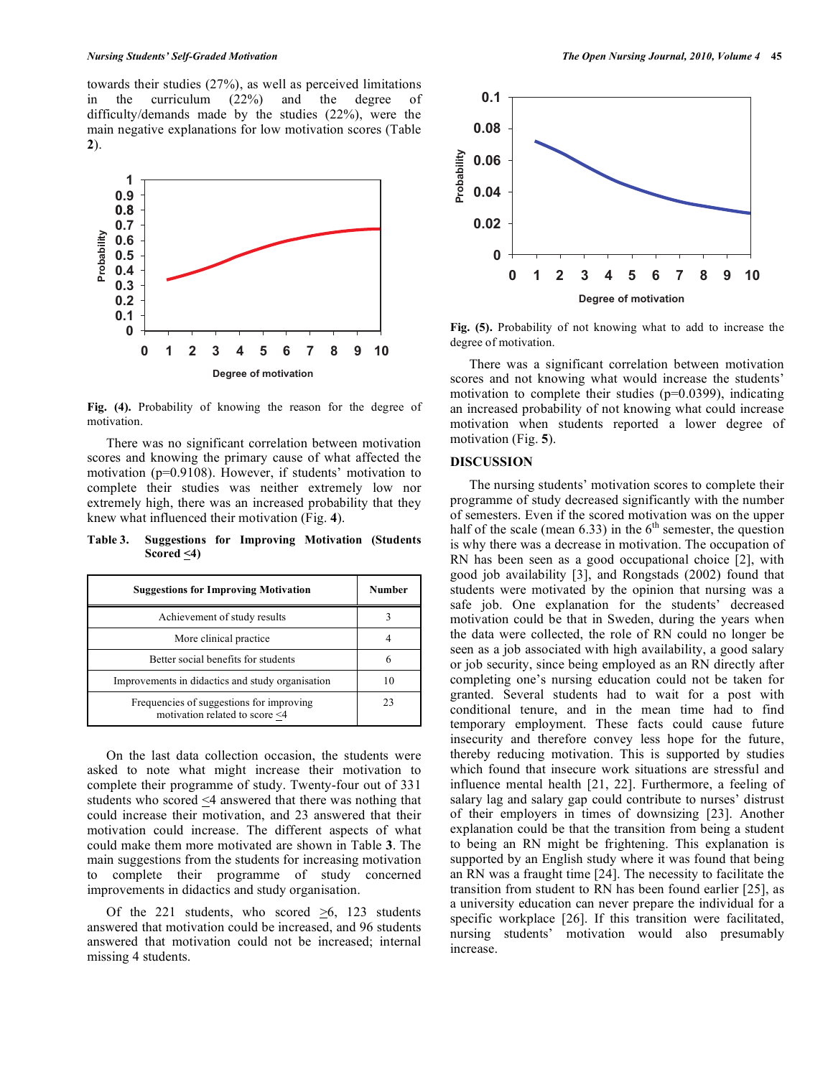towards their studies (27%), as well as perceived limitations in the curriculum (22%) and the degree of difficulty/demands made by the studies (22%), were the main negative explanations for low motivation scores (Table **2**).



**Fig. (4).** Probability of knowing the reason for the degree of motivation.

 There was no significant correlation between motivation scores and knowing the primary cause of what affected the motivation (p=0.9108). However, if students' motivation to complete their studies was neither extremely low nor extremely high, there was an increased probability that they knew what influenced their motivation (Fig. **4**).

**Table 3. Suggestions for Improving Motivation (Students**  Scored  $\leq 4$ )

| <b>Suggestions for Improving Motivation</b>                                | Number |
|----------------------------------------------------------------------------|--------|
| Achievement of study results                                               |        |
| More clinical practice                                                     |        |
| Better social benefits for students                                        |        |
| Improvements in didactics and study organisation                           |        |
| Frequencies of suggestions for improving<br>motivation related to score <4 | 23     |

 On the last data collection occasion, the students were asked to note what might increase their motivation to complete their programme of study. Twenty-four out of 331 students who scored <4 answered that there was nothing that could increase their motivation, and 23 answered that their motivation could increase. The different aspects of what could make them more motivated are shown in Table **3**. The main suggestions from the students for increasing motivation to complete their programme of study concerned improvements in didactics and study organisation.

Of the 221 students, who scored  $\geq 6$ , 123 students answered that motivation could be increased, and 96 students answered that motivation could not be increased; internal missing 4 students.



**Fig. (5).** Probability of not knowing what to add to increase the degree of motivation.

 There was a significant correlation between motivation scores and not knowing what would increase the students' motivation to complete their studies  $(p=0.0399)$ , indicating an increased probability of not knowing what could increase motivation when students reported a lower degree of motivation (Fig. **5**).

#### **DISCUSSION**

 The nursing students' motivation scores to complete their programme of study decreased significantly with the number of semesters. Even if the scored motivation was on the upper half of the scale (mean  $6.33$ ) in the  $6<sup>th</sup>$  semester, the question is why there was a decrease in motivation. The occupation of RN has been seen as a good occupational choice [2], with good job availability [3], and Rongstads (2002) found that students were motivated by the opinion that nursing was a safe job. One explanation for the students' decreased motivation could be that in Sweden, during the years when the data were collected, the role of RN could no longer be seen as a job associated with high availability, a good salary or job security, since being employed as an RN directly after completing one's nursing education could not be taken for granted. Several students had to wait for a post with conditional tenure, and in the mean time had to find temporary employment. These facts could cause future insecurity and therefore convey less hope for the future, thereby reducing motivation. This is supported by studies which found that insecure work situations are stressful and influence mental health [21, 22]. Furthermore, a feeling of salary lag and salary gap could contribute to nurses' distrust of their employers in times of downsizing [23]. Another explanation could be that the transition from being a student to being an RN might be frightening. This explanation is supported by an English study where it was found that being an RN was a fraught time [24]. The necessity to facilitate the transition from student to RN has been found earlier [25], as a university education can never prepare the individual for a specific workplace [26]. If this transition were facilitated, nursing students' motivation would also presumably increase.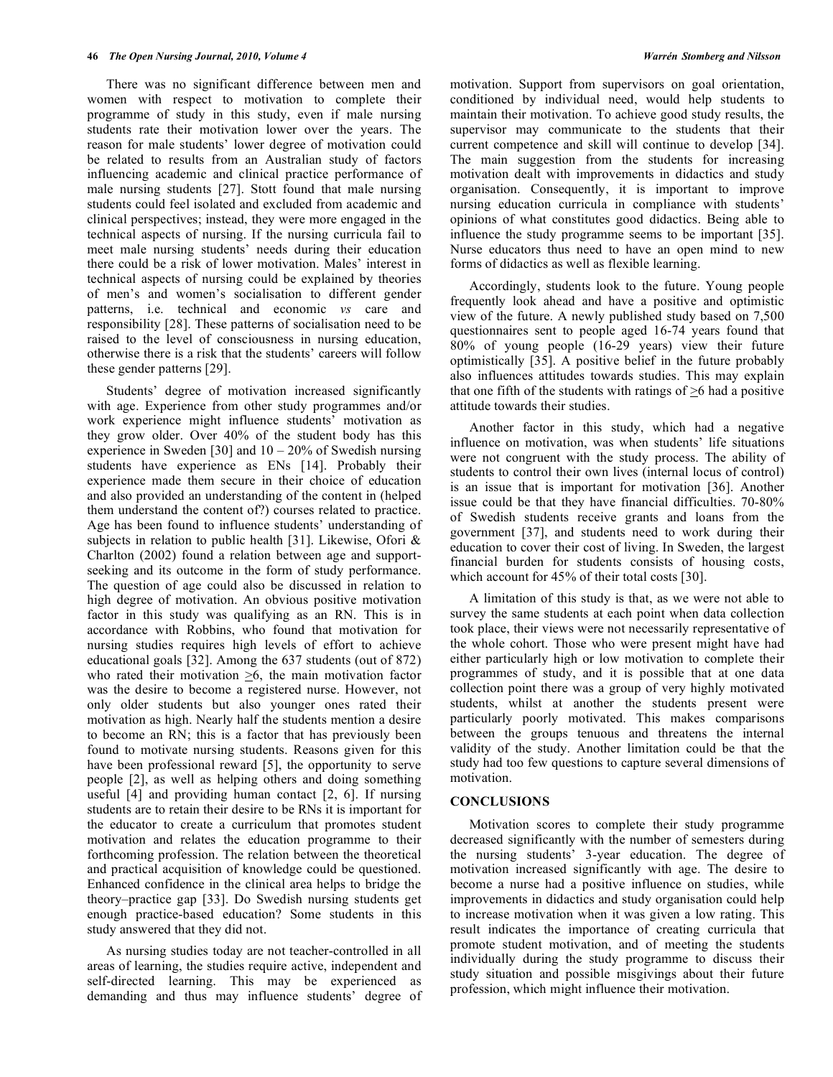There was no significant difference between men and women with respect to motivation to complete their programme of study in this study, even if male nursing students rate their motivation lower over the years. The reason for male students' lower degree of motivation could be related to results from an Australian study of factors influencing academic and clinical practice performance of male nursing students [27]. Stott found that male nursing students could feel isolated and excluded from academic and clinical perspectives; instead, they were more engaged in the technical aspects of nursing. If the nursing curricula fail to meet male nursing students' needs during their education there could be a risk of lower motivation. Males' interest in technical aspects of nursing could be explained by theories of men's and women's socialisation to different gender patterns, i.e. technical and economic *vs* care and responsibility [28]. These patterns of socialisation need to be raised to the level of consciousness in nursing education, otherwise there is a risk that the students' careers will follow these gender patterns [29].

 Students' degree of motivation increased significantly with age. Experience from other study programmes and/or work experience might influence students' motivation as they grow older. Over 40% of the student body has this experience in Sweden [30] and  $10 - 20\%$  of Swedish nursing students have experience as ENs [14]. Probably their experience made them secure in their choice of education and also provided an understanding of the content in (helped them understand the content of?) courses related to practice. Age has been found to influence students' understanding of subjects in relation to public health [31]. Likewise, Ofori & Charlton (2002) found a relation between age and supportseeking and its outcome in the form of study performance. The question of age could also be discussed in relation to high degree of motivation. An obvious positive motivation factor in this study was qualifying as an RN. This is in accordance with Robbins, who found that motivation for nursing studies requires high levels of effort to achieve educational goals [32]. Among the 637 students (out of 872) who rated their motivation  $\geq 6$ , the main motivation factor was the desire to become a registered nurse. However, not only older students but also younger ones rated their motivation as high. Nearly half the students mention a desire to become an RN; this is a factor that has previously been found to motivate nursing students. Reasons given for this have been professional reward [5], the opportunity to serve people [2], as well as helping others and doing something useful [4] and providing human contact [2, 6]. If nursing students are to retain their desire to be RNs it is important for the educator to create a curriculum that promotes student motivation and relates the education programme to their forthcoming profession. The relation between the theoretical and practical acquisition of knowledge could be questioned. Enhanced confidence in the clinical area helps to bridge the theory–practice gap [33]. Do Swedish nursing students get enough practice-based education? Some students in this study answered that they did not.

 As nursing studies today are not teacher-controlled in all areas of learning, the studies require active, independent and self-directed learning. This may be experienced as demanding and thus may influence students' degree of motivation. Support from supervisors on goal orientation, conditioned by individual need, would help students to maintain their motivation. To achieve good study results, the supervisor may communicate to the students that their current competence and skill will continue to develop [34]. The main suggestion from the students for increasing motivation dealt with improvements in didactics and study organisation. Consequently, it is important to improve nursing education curricula in compliance with students' opinions of what constitutes good didactics. Being able to influence the study programme seems to be important [35]. Nurse educators thus need to have an open mind to new forms of didactics as well as flexible learning.

 Accordingly, students look to the future. Young people frequently look ahead and have a positive and optimistic view of the future. A newly published study based on 7,500 questionnaires sent to people aged 16-74 years found that 80% of young people (16-29 years) view their future optimistically [35]. A positive belief in the future probably also influences attitudes towards studies. This may explain that one fifth of the students with ratings of >6 had a positive attitude towards their studies.

 Another factor in this study, which had a negative influence on motivation, was when students' life situations were not congruent with the study process. The ability of students to control their own lives (internal locus of control) is an issue that is important for motivation [36]. Another issue could be that they have financial difficulties. 70-80% of Swedish students receive grants and loans from the government [37], and students need to work during their education to cover their cost of living. In Sweden, the largest financial burden for students consists of housing costs, which account for 45% of their total costs [30].

 A limitation of this study is that, as we were not able to survey the same students at each point when data collection took place, their views were not necessarily representative of the whole cohort. Those who were present might have had either particularly high or low motivation to complete their programmes of study, and it is possible that at one data collection point there was a group of very highly motivated students, whilst at another the students present were particularly poorly motivated. This makes comparisons between the groups tenuous and threatens the internal validity of the study. Another limitation could be that the study had too few questions to capture several dimensions of motivation.

# **CONCLUSIONS**

 Motivation scores to complete their study programme decreased significantly with the number of semesters during the nursing students' 3-year education. The degree of motivation increased significantly with age. The desire to become a nurse had a positive influence on studies, while improvements in didactics and study organisation could help to increase motivation when it was given a low rating. This result indicates the importance of creating curricula that promote student motivation, and of meeting the students individually during the study programme to discuss their study situation and possible misgivings about their future profession, which might influence their motivation.